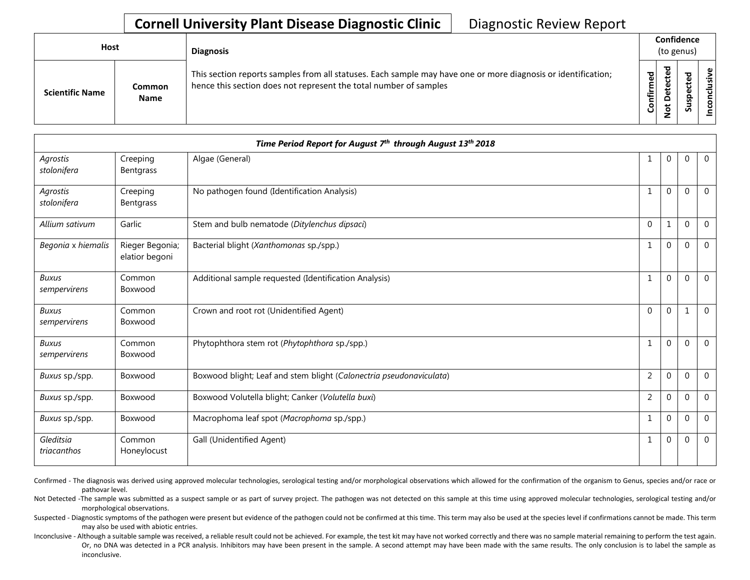## **Cornell University Plant Disease Diagnostic Clinic** | Diagnostic Review Report

| Host                   |                       | <b>Diagnosis</b>                                                                                                                                                                   |           |                                   | Confidence<br>(to genus) |                 |
|------------------------|-----------------------|------------------------------------------------------------------------------------------------------------------------------------------------------------------------------------|-----------|-----------------------------------|--------------------------|-----------------|
| <b>Scientific Name</b> | Common<br><b>Name</b> | This section reports samples from all statuses. Each sample may have one or more diagnosis or identification;<br>hence this section does not represent the total number of samples | Confirmed | ᇃ<br>ن<br>ω<br>یو<br>۵<br>ىپ<br>⇁ | ທ                        | Φ<br>usiv<br>᠊ᠣ |

| Time Period Report for August 7th through August 13th 2018 |                                   |                                                                     |                |          |          |              |  |  |
|------------------------------------------------------------|-----------------------------------|---------------------------------------------------------------------|----------------|----------|----------|--------------|--|--|
| Agrostis<br>stolonifera                                    | Creeping<br><b>Bentgrass</b>      | Algae (General)                                                     | 1              | $\Omega$ | $\Omega$ | $\mathbf{0}$ |  |  |
| Agrostis<br>stolonifera                                    | Creeping<br>Bentgrass             | No pathogen found (Identification Analysis)                         | $\mathbf{1}$   | $\Omega$ | $\Omega$ | $\mathbf{0}$ |  |  |
| Allium sativum                                             | Garlic                            | Stem and bulb nematode (Ditylenchus dipsaci)                        | $\Omega$       | 1        | $\Omega$ | $\Omega$     |  |  |
| Begonia x hiemalis                                         | Rieger Begonia;<br>elatior begoni | Bacterial blight (Xanthomonas sp./spp.)                             | $\overline{1}$ | $\Omega$ | $\Omega$ | $\Omega$     |  |  |
| <b>Buxus</b><br>sempervirens                               | Common<br>Boxwood                 | Additional sample requested (Identification Analysis)               | $\mathbf{1}$   | $\Omega$ | $\Omega$ | $\Omega$     |  |  |
| <b>Buxus</b><br>sempervirens                               | Common<br>Boxwood                 | Crown and root rot (Unidentified Agent)                             | $\Omega$       | $\Omega$ | 1        | $\mathbf{0}$ |  |  |
| <b>Buxus</b><br>sempervirens                               | Common<br>Boxwood                 | Phytophthora stem rot (Phytophthora sp./spp.)                       | $\overline{1}$ | $\Omega$ | $\Omega$ | $\Omega$     |  |  |
| Buxus sp./spp.                                             | Boxwood                           | Boxwood blight; Leaf and stem blight (Calonectria pseudonaviculata) | 2              | 0        | $\Omega$ | $\Omega$     |  |  |
| Buxus sp./spp.                                             | Boxwood                           | Boxwood Volutella blight; Canker (Volutella buxi)                   | $\overline{2}$ | $\Omega$ | $\Omega$ | $\mathbf{0}$ |  |  |
| Buxus sp./spp.                                             | Boxwood                           | Macrophoma leaf spot (Macrophoma sp./spp.)                          | $\mathbf{1}$   | $\Omega$ | $\Omega$ | $\Omega$     |  |  |
| Gleditsia<br>triacanthos                                   | Common<br>Honeylocust             | Gall (Unidentified Agent)                                           | 1              | $\Omega$ | $\Omega$ | $\Omega$     |  |  |

Confirmed - The diagnosis was derived using approved molecular technologies, serological testing and/or morphological observations which allowed for the confirmation of the organism to Genus, species and/or race or pathovar level.

Not Detected -The sample was submitted as a suspect sample or as part of survey project. The pathogen was not detected on this sample at this time using approved molecular technologies, serological testing and/or morphological observations.

Suspected - Diagnostic symptoms of the pathogen were present but evidence of the pathogen could not be confirmed at this time. This term may also be used at the species level if confirmations cannot be made. This term may also be used with abiotic entries.

Inconclusive - Although a suitable sample was received, a reliable result could not be achieved. For example, the test kit may have not worked correctly and there was no sample material remaining to perform the test again. Or, no DNA was detected in a PCR analysis. Inhibitors may have been present in the sample. A second attempt may have been made with the same results. The only conclusion is to label the sample as inconclusive.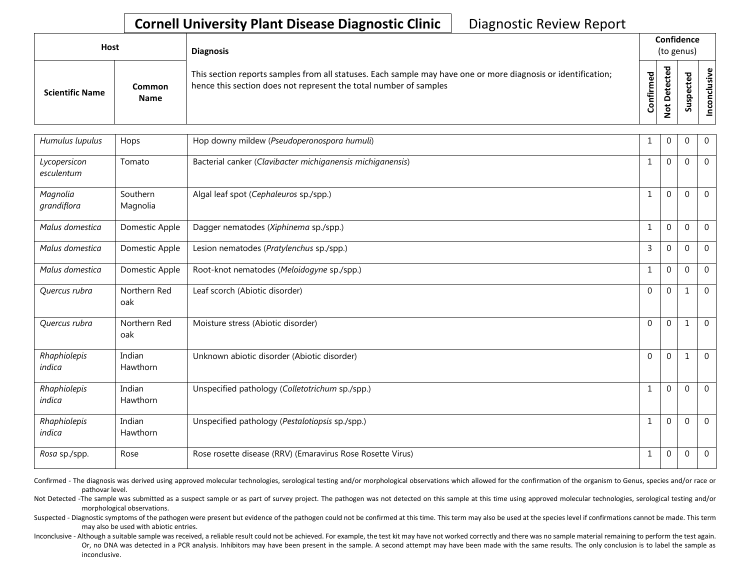## **Cornell University Plant Disease Diagnostic Clinic** | Diagnostic Review Report

| Host                   |                       | <b>Diagnosis</b>                                                                                                                                                                   |              | Confidence<br>(to genus)                                     |             |                        |
|------------------------|-----------------------|------------------------------------------------------------------------------------------------------------------------------------------------------------------------------------|--------------|--------------------------------------------------------------|-------------|------------------------|
| <b>Scientific Name</b> | Common<br><b>Name</b> | This section reports samples from all statuses. Each sample may have one or more diagnosis or identification;<br>hence this section does not represent the total number of samples | ဥ<br>Confirm | ᇴ<br>$\tilde{\mathbf{\omega}}$<br>Φ<br>ى<br>۵<br>پ<br>۰<br>- | ъ<br>ທ<br>S | $\mathbf{\omega}$<br>š |

| Humulus lupulus            | Hops                 | Hop downy mildew (Pseudoperonospora humuli)                | 1              | $\Omega$ | $\Omega$ | $\mathbf{0}$ |
|----------------------------|----------------------|------------------------------------------------------------|----------------|----------|----------|--------------|
| Lycopersicon<br>esculentum | Tomato               | Bacterial canker (Clavibacter michiganensis michiganensis) | 1              | $\Omega$ | $\Omega$ | $\mathbf 0$  |
| Magnolia<br>grandiflora    | Southern<br>Magnolia | Algal leaf spot (Cephaleuros sp./spp.)                     | $\mathbf{1}$   | $\Omega$ | $\Omega$ | $\mathbf 0$  |
| Malus domestica            | Domestic Apple       | Dagger nematodes (Xiphinema sp./spp.)                      | $\mathbf{1}$   | $\Omega$ | $\Omega$ | $\mathbf 0$  |
| Malus domestica            | Domestic Apple       | Lesion nematodes (Pratylenchus sp./spp.)                   | $\overline{3}$ | $\Omega$ | $\Omega$ | $\Omega$     |
| Malus domestica            | Domestic Apple       | Root-knot nematodes (Meloidogyne sp./spp.)                 | $\mathbf{1}$   | $\Omega$ | $\Omega$ | $\Omega$     |
| Quercus rubra              | Northern Red<br>oak  | Leaf scorch (Abiotic disorder)                             | $\Omega$       | $\Omega$ | 1        | $\mathbf 0$  |
| Quercus rubra              | Northern Red<br>oak  | Moisture stress (Abiotic disorder)                         | $\mathbf{0}$   | $\Omega$ | 1        | $\mathbf 0$  |
| Rhaphiolepis<br>indica     | Indian<br>Hawthorn   | Unknown abiotic disorder (Abiotic disorder)                | $\Omega$       | $\Omega$ | 1        | $\Omega$     |
| Rhaphiolepis<br>indica     | Indian<br>Hawthorn   | Unspecified pathology (Colletotrichum sp./spp.)            | $\mathbf{1}$   | $\Omega$ | $\Omega$ | $\mathbf 0$  |
| Rhaphiolepis<br>indica     | Indian<br>Hawthorn   | Unspecified pathology (Pestalotiopsis sp./spp.)            | 1              | $\Omega$ | $\Omega$ | $\mathbf 0$  |
| Rosa sp./spp.              | Rose                 | Rose rosette disease (RRV) (Emaravirus Rose Rosette Virus) | 1              | 0        | $\Omega$ | $\mathbf 0$  |

Confirmed - The diagnosis was derived using approved molecular technologies, serological testing and/or morphological observations which allowed for the confirmation of the organism to Genus, species and/or race or pathovar level.

Not Detected -The sample was submitted as a suspect sample or as part of survey project. The pathogen was not detected on this sample at this time using approved molecular technologies, serological testing and/or morphological observations.

Suspected - Diagnostic symptoms of the pathogen were present but evidence of the pathogen could not be confirmed at this time. This term may also be used at the species level if confirmations cannot be made. This term may also be used with abiotic entries.

Inconclusive - Although a suitable sample was received, a reliable result could not be achieved. For example, the test kit may have not worked correctly and there was no sample material remaining to perform the test again. Or, no DNA was detected in a PCR analysis. Inhibitors may have been present in the sample. A second attempt may have been made with the same results. The only conclusion is to label the sample as inconclusive.